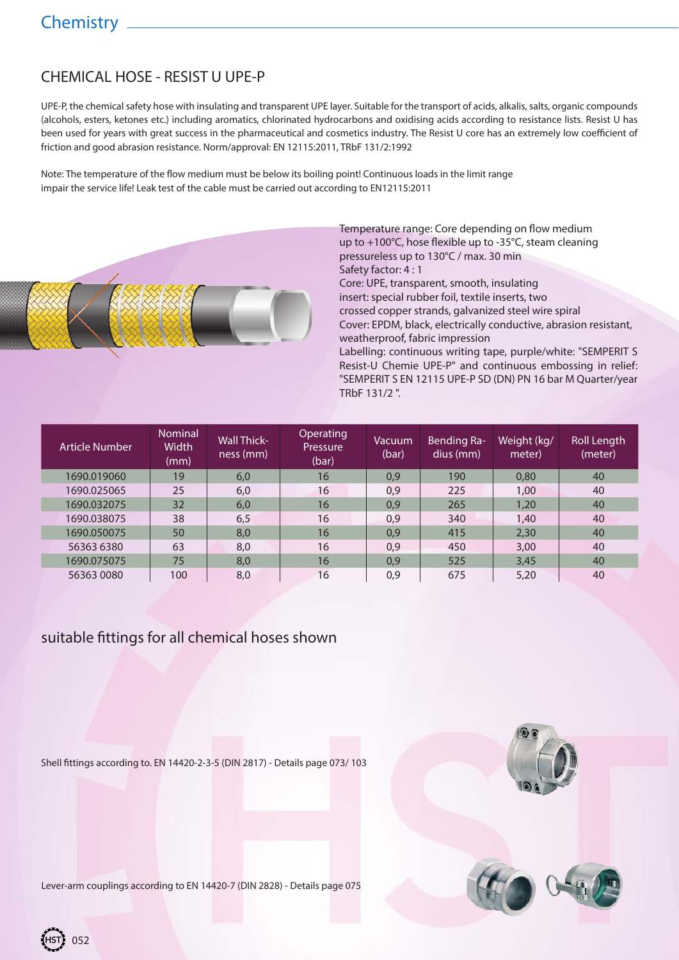# CHEMICAL HOSE - RESIST U UPE-P

UPE-P, the chemical safety hose with insulating and transparent UPE layer. Suitable for the transport of acids, alkalis, salts, organic compounds (alcohols, esters, ketones etc.) including aromatics, chlorinated hydrocarbons and oxidising acids according to resistance lists. Resist U has been used for years with great success in the pharmaceutical and cosmetics industry. The Resist U core has an extremely low coefficient of friction and good abrasion resistance. Norm/approval: EN 12115:2011, TRbF 131/2:1992

Note: The temperature of the flow medium must be below its boiling point! Continuous loads in the limit range impair the service life! Leak test of the cable must be carried out according to EN12115:2011



Temperature range: Core depending on flow medium up to +100°C, hose flexible up to -35°C, steam cleaning pressureless up to 130°C / max. 30 min Safety factor: 4 : 1 Core: UPE, transparent, smooth, insulating insert: special rubber foil, textile inserts, two

crossed copper strands, galvanized steel wire spiral Cover: EPDM, black, electrically conductive, abrasion resistant, weatherproof, fabric impression

Labelling: continuous writing tape, purple/white: "SEMPERIT S Resist-U Chemie UPE-P" and continuous embossing in relief: "SEMPERIT S EN 12115 UPE-P SD (DN) PN 16 bar M Quarter/year TRbF 131/2 ".

| Article Number | <b>Nominal</b><br>Width<br>(mm) | <b>Wall Thick-</b><br>ness (mm) | Operating<br>Pressure<br>(bar) | Vacuum<br>(bar) | Bending Ra-<br>dius (mm) | Weight (kg/<br>meter) | Roll Length<br>(meter) |
|----------------|---------------------------------|---------------------------------|--------------------------------|-----------------|--------------------------|-----------------------|------------------------|
| 1690.019060    | 19 <sup>°</sup>                 | 6,0                             | 16                             | 0,9             | 190                      | 0.80                  | 40                     |
| 1690.025065    | 25                              | 6,0                             | 16                             | 0,9             | 225                      | 1,00                  | 40                     |
| 1690.032075    | 32                              | 6,0                             | 16                             | 0,9             | 265                      | 1,20                  | 40                     |
| 1690.038075    | 38                              | 6,5                             | 16                             | 0,9             | 340                      | 1,40                  | 40                     |
| 1690.050075    | 50                              | 8,0                             | 16                             | 0,9             | 415                      | 2,30                  | 40                     |
| 56363 6380     | 63                              | 8,0                             | 16                             | 0,9             | 450                      | 3,00                  | 40                     |
| 1690.075075    | 75                              | 8,0                             | 16                             | 0.9             | 525                      | 3.45                  | 40                     |
| 56363 0080     | 100                             | 8,0                             | 16                             | 0,9             | 675                      | 5,20                  | 40                     |

#### suitable fittings for all chemical hoses shown

Shell fittings according to. EN 14420-2-3-5 (DIN 2817) - Details page 073/ 103





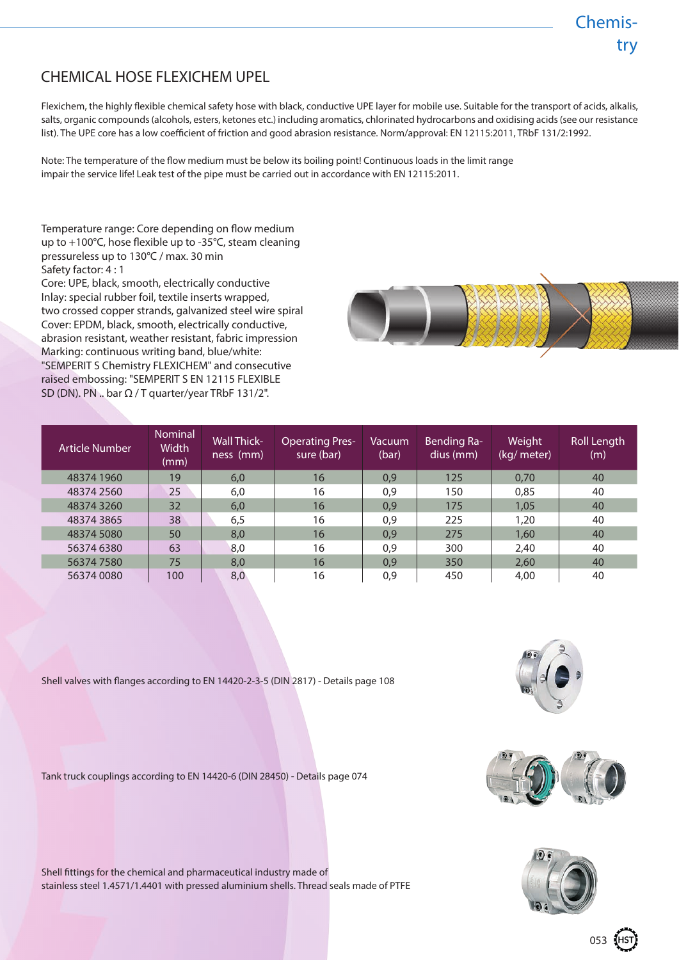### Chemistry

## CHEMICAL HOSE FLEXICHEM UPEL

Flexichem, the highly flexible chemical safety hose with black, conductive UPE layer for mobile use. Suitable for the transport of acids, alkalis, salts, organic compounds (alcohols, esters, ketones etc.) including aromatics, chlorinated hydrocarbons and oxidising acids (see our resistance list). The UPE core has a low coefficient of friction and good abrasion resistance. Norm/approval: EN 12115:2011, TRbF 131/2:1992.

Note: The temperature of the flow medium must be below its boiling point! Continuous loads in the limit range impair the service life! Leak test of the pipe must be carried out in accordance with EN 12115:2011.

Temperature range: Core depending on flow medium up to +100°C, hose flexible up to -35°C, steam cleaning pressureless up to 130°C / max. 30 min Safety factor: 4 : 1

Core: UPE, black, smooth, electrically conductive Inlay: special rubber foil, textile inserts wrapped, two crossed copper strands, galvanized steel wire spiral Cover: EPDM, black, smooth, electrically conductive, abrasion resistant, weather resistant, fabric impression Marking: continuous writing band, blue/white: "SEMPERIT S Chemistry FLEXICHEM" and consecutive raised embossing: "SEMPERIT S EN 12115 FLEXIBLE SD (DN). PN .. bar  $\Omega$  / T quarter/year TRbF 131/2".



| Article Number | <b>Nominal</b><br><b>Width</b><br>(mm) | <b>Wall Thick-</b><br>ness (mm) | <b>Operating Pres-</b><br>sure (bar) | Vacuum<br>(bar) | <b>Bending Ra-</b><br>dius (mm) | Weight<br>(kg/ meter) | Roll Length<br>(m) |
|----------------|----------------------------------------|---------------------------------|--------------------------------------|-----------------|---------------------------------|-----------------------|--------------------|
| 48374 1960     | 19                                     | 6,0                             | 16                                   | 0,9             | 125                             | 0.70                  | 40                 |
| 48374 2560     | 25                                     | 6,0                             | 16                                   | 0,9             | 150                             | 0,85                  | 40                 |
| 483743260      | 32                                     | 6,0                             | 16                                   | 0,9             | 175                             | 1,05                  | 40                 |
| 483743865      | 38                                     | 6,5                             | 16                                   | 0,9             | 225                             | 1,20                  | 40                 |
| 48374 5080     | 50                                     | 8,0                             | 16                                   | 0,9             | 275                             | 1,60                  | 40                 |
| 56374 6380     | 63                                     | 8,0                             | 16                                   | 0,9             | 300                             | 2,40                  | 40                 |
| 563747580      | 75                                     | 8,0                             | 16                                   | 0,9             | 350                             | 2,60                  | 40                 |
| 56374 0080     | 100                                    | 8,0                             | 16                                   | 0,9             | 450                             | 4,00                  | 40                 |

Shell valves with flanges according to EN 14420-2-3-5 (DIN 2817) - Details page 108

Tank truck couplings according to EN 14420-6 (DIN 28450) - Details page 074









053